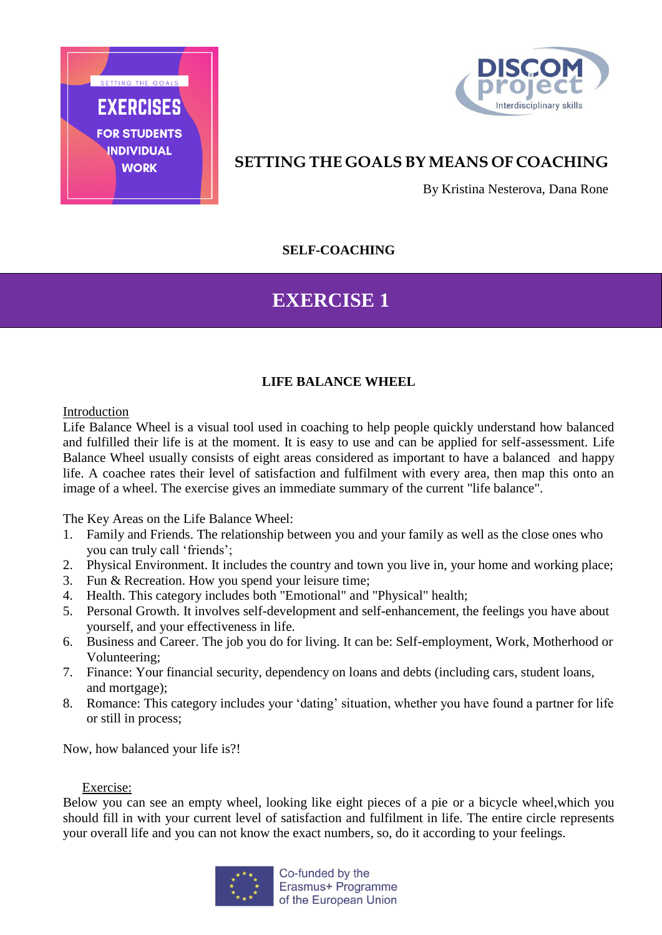



## **SETTING THE GOALS BY MEANS OF COACHING**

By Kristina Nesterova, Dana Rone

## **SELF-COACHING**

## **EXERCISE 1**

## **LIFE BALANCE WHEEL**

Introduction

Life Balance Wheel is a visual tool used in coaching to help people quickly understand how balanced and fulfilled their life is at the moment. It is easy to use and can be applied for self-assessment. Life Balance Wheel usually consists of eight areas considered as important to have a balanced and happy life. A coachee rates their level of satisfaction and fulfilment with every area, then map this onto an image of a wheel. The exercise gives an immediate summary of the current "life balance".

The Key Areas on the Life Balance Wheel:

- 1. Family and Friends. The relationship between you and your family as well as the close ones who you can truly call 'friends';
- 2. Physical Environment. It includes the country and town you live in, your home and working place;
- 3. Fun & Recreation. How you spend your leisure time;
- 4. Health. This category includes both "Emotional" and "Physical" health;
- 5. Personal Growth. It involves self-development and self-enhancement, the feelings you have about yourself, and your effectiveness in life.
- 6. Business and Career. The job you do for living. It can be: Self-employment, Work, Motherhood or Volunteering;
- 7. Finance: Your financial security, dependency on loans and debts (including cars, student loans, and mortgage);
- 8. Romance: This category includes your 'dating' situation, whether you have found a partner for life or still in process;

Now, how balanced your life is?!

### Exercise:

Below you can see an empty wheel, looking like eight pieces of a pie or a bicycle wheel,which you should fill in with your current level of satisfaction and fulfilment in life. The entire circle represents your overall life and you can not know the exact numbers, so, do it according to your feelings.

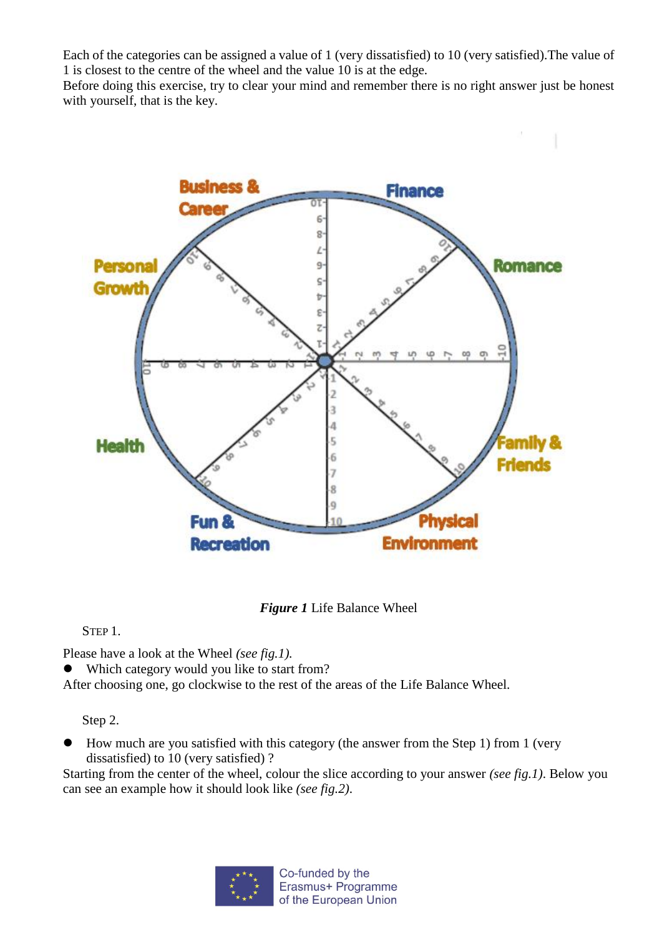Each of the categories can be assigned a value of 1 (very dissatisfied) to 10 (very satisfied).The value of 1 is closest to the centre of the wheel and the value 10 is at the edge.

Before doing this exercise, try to clear your mind and remember there is no right answer just be honest with yourself, that is the key.



*Figure 1* Life Balance Wheel

STEP 1.

Please have a look at the Wheel *(see fig.1).*

Which category would you like to start from?

After choosing one, go clockwise to the rest of the areas of the Life Balance Wheel.

Step 2.

 How much are you satisfied with this category (the answer from the Step 1) from 1 (very dissatisfied) to 10 (very satisfied) ?

Starting from the center of the wheel, colour the slice according to your answer *(see fig.1)*. Below you can see an example how it should look like *(see fig.2)*.

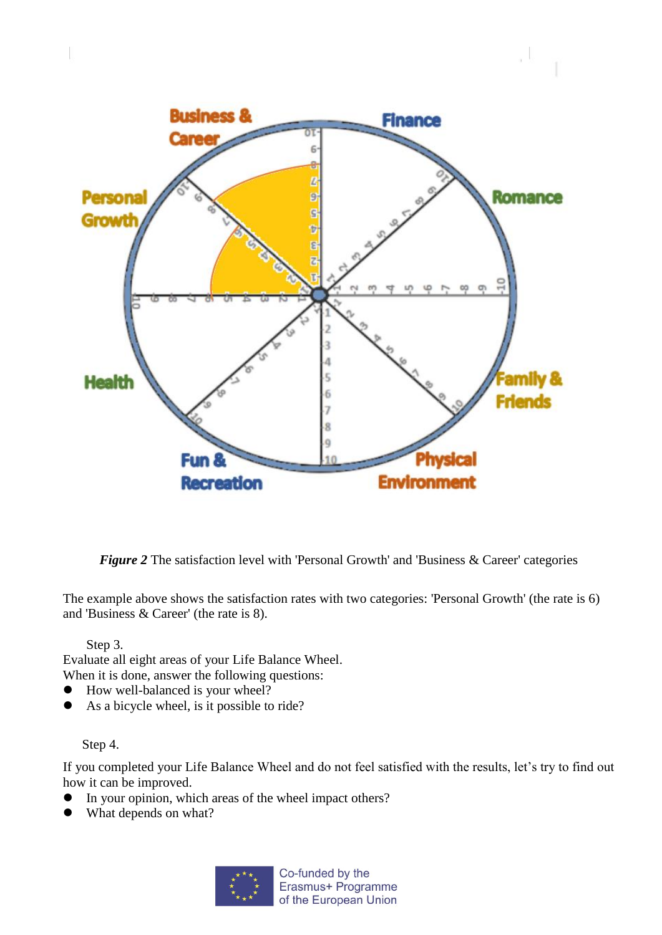

*Figure 2* The satisfaction level with 'Personal Growth' and 'Business & Career' categories

The example above shows the satisfaction rates with two categories: 'Personal Growth' (the rate is 6) and 'Business & Career' (the rate is 8).

Step 3.

Evaluate all eight areas of your Life Balance Wheel. When it is done, answer the following questions:

- How well-balanced is your wheel?
- As a bicycle wheel, is it possible to ride?

Step 4.

If you completed your Life Balance Wheel and do not feel satisfied with the results, let's try to find out how it can be improved.

- In your opinion, which areas of the wheel impact others?
- What depends on what?

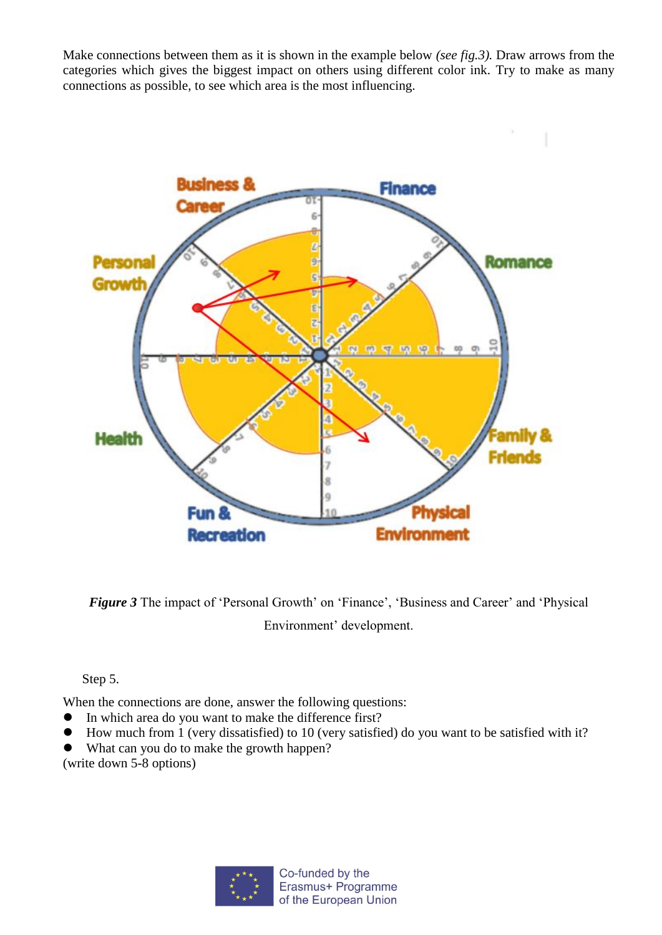Make connections between them as it is shown in the example below *(see fig.3).* Draw arrows from the categories which gives the biggest impact on others using different color ink. Try to make as many connections as possible, to see which area is the most influencing.



*Figure 3* The impact of 'Personal Growth' on 'Finance', 'Business and Career' and 'Physical Environment' development.

Step 5.

When the connections are done, answer the following questions:

- In which area do you want to make the difference first?
- How much from 1 (very dissatisfied) to 10 (very satisfied) do you want to be satisfied with it?
- What can you do to make the growth happen?

(write down 5-8 options)

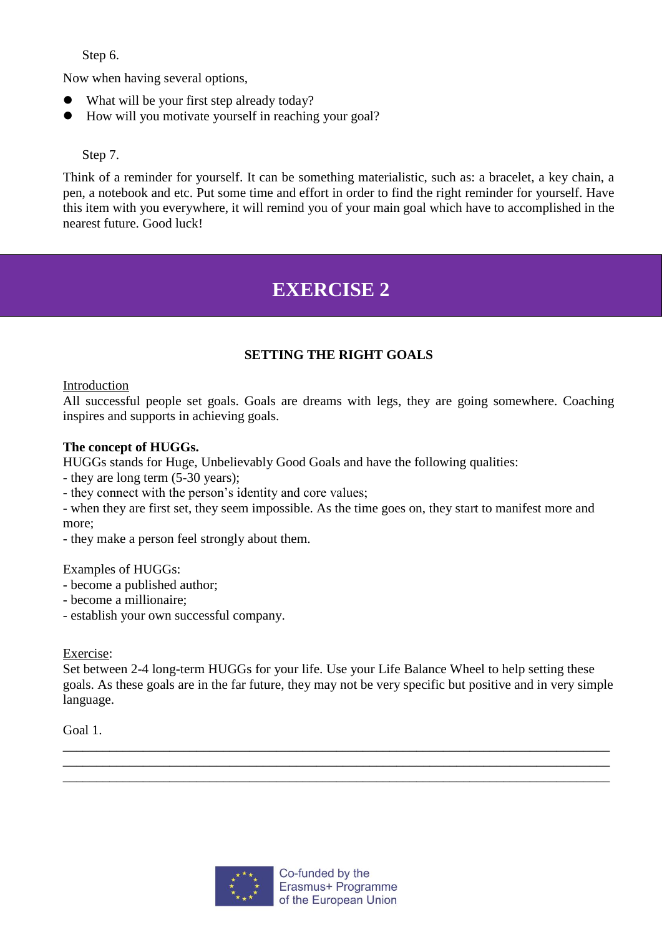Step 6.

Now when having several options,

- What will be your first step already today?
- How will you motivate yourself in reaching your goal?

## Step 7.

Think of a reminder for yourself. It can be something materialistic, such as: a bracelet, a key chain, a pen, a notebook and etc. Put some time and effort in order to find the right reminder for yourself. Have this item with you everywhere, it will remind you of your main goal which have to accomplished in the nearest future. Good luck!

# **EXERCISE 2**

## **SETTING THE RIGHT GOALS**

## Introduction

All successful people set goals. Goals are dreams with legs, they are going somewhere. Coaching inspires and supports in achieving goals.

## **The concept of HUGGs.**

HUGGs stands for Huge, Unbelievably Good Goals and have the following qualities:

- they are long term (5-30 years);
- they connect with the person's identity and core values;

- when they are first set, they seem impossible. As the time goes on, they start to manifest more and more;

- they make a person feel strongly about them.

### Examples of HUGGs:

- become a published author;
- become a millionaire;
- establish your own successful company.

### Exercise:

Set between 2-4 long-term HUGGs for your life. Use your Life Balance Wheel to help setting these goals. As these goals are in the far future, they may not be very specific but positive and in very simple language.

\_\_\_\_\_\_\_\_\_\_\_\_\_\_\_\_\_\_\_\_\_\_\_\_\_\_\_\_\_\_\_\_\_\_\_\_\_\_\_\_\_\_\_\_\_\_\_\_\_\_\_\_\_\_\_\_\_\_\_\_\_\_\_\_\_\_\_\_\_\_\_\_\_\_\_\_\_\_\_\_\_\_ \_\_\_\_\_\_\_\_\_\_\_\_\_\_\_\_\_\_\_\_\_\_\_\_\_\_\_\_\_\_\_\_\_\_\_\_\_\_\_\_\_\_\_\_\_\_\_\_\_\_\_\_\_\_\_\_\_\_\_\_\_\_\_\_\_\_\_\_\_\_\_\_\_\_\_\_\_\_\_\_\_\_ \_\_\_\_\_\_\_\_\_\_\_\_\_\_\_\_\_\_\_\_\_\_\_\_\_\_\_\_\_\_\_\_\_\_\_\_\_\_\_\_\_\_\_\_\_\_\_\_\_\_\_\_\_\_\_\_\_\_\_\_\_\_\_\_\_\_\_\_\_\_\_\_\_\_\_\_\_\_\_\_\_\_

Goal 1.

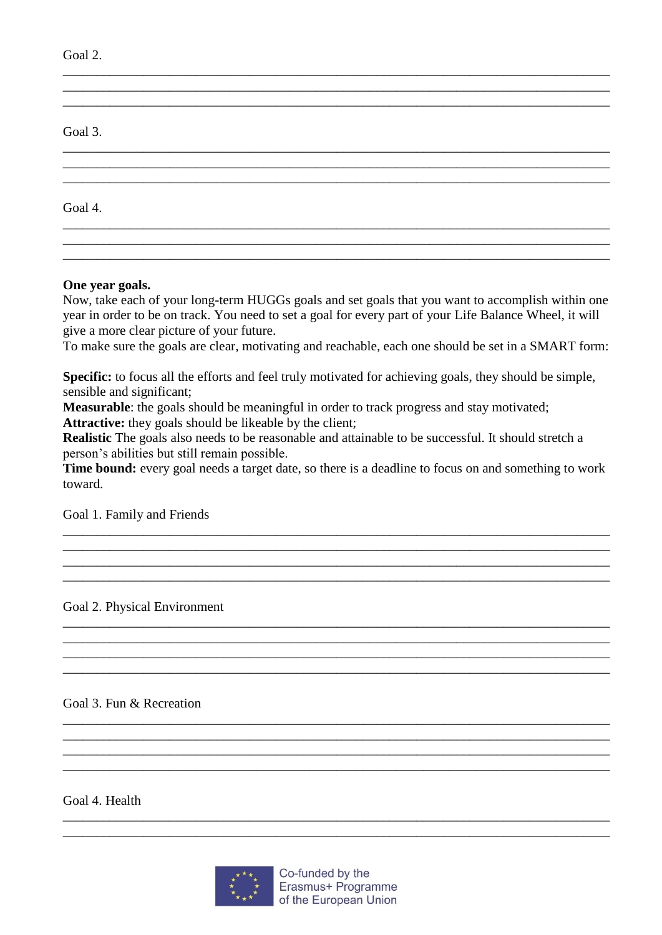| Goal 2. |  |  |  |
|---------|--|--|--|
|         |  |  |  |
| Goal 3. |  |  |  |
|         |  |  |  |
| Goal 4. |  |  |  |
|         |  |  |  |

#### One year goals.

Now, take each of your long-term HUGGs goals and set goals that you want to accomplish within one year in order to be on track. You need to set a goal for every part of your Life Balance Wheel, it will give a more clear picture of your future.

To make sure the goals are clear, motivating and reachable, each one should be set in a SMART form:

**Specific:** to focus all the efforts and feel truly motivated for achieving goals, they should be simple, sensible and significant;

Measurable: the goals should be meaningful in order to track progress and stay motivated; **Attractive:** they goals should be likeable by the client;

**Realistic** The goals also needs to be reasonable and attainable to be successful. It should stretch a person's abilities but still remain possible.

Time bound: every goal needs a target date, so there is a deadline to focus on and something to work toward.

Goal 1. Family and Friends

Goal 2. Physical Environment

Goal 3. Fun & Recreation

Goal 4. Health